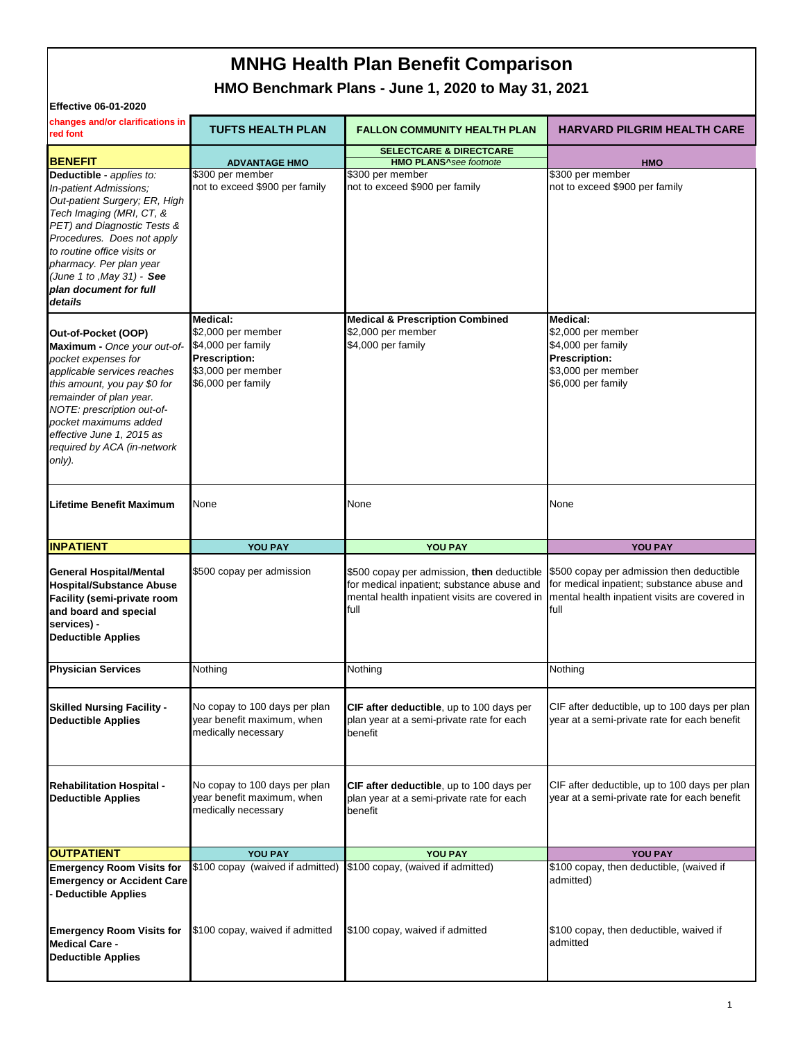# **MNHG Health Plan Benefit Comparison**

**HMO Benchmark Plans - June 1, 2020 to May 31, 2021**

| <b>Effective 06-01-2020</b>                                                                                                                                                                                                                                                                               |                                                                                                                          |                                                                                                                                                   |                                                                                                                                                  |  |  |
|-----------------------------------------------------------------------------------------------------------------------------------------------------------------------------------------------------------------------------------------------------------------------------------------------------------|--------------------------------------------------------------------------------------------------------------------------|---------------------------------------------------------------------------------------------------------------------------------------------------|--------------------------------------------------------------------------------------------------------------------------------------------------|--|--|
| changes and/or clarifications in<br>red font                                                                                                                                                                                                                                                              | <b>TUFTS HEALTH PLAN</b>                                                                                                 | <b>FALLON COMMUNITY HEALTH PLAN</b>                                                                                                               | <b>HARVARD PILGRIM HEALTH CARE</b>                                                                                                               |  |  |
| <b>BENEFIT</b>                                                                                                                                                                                                                                                                                            | <b>ADVANTAGE HMO</b>                                                                                                     | <b>SELECTCARE &amp; DIRECTCARE</b><br><b>HMO PLANS</b> <sup>A</sup> see footnote                                                                  | <b>HMO</b>                                                                                                                                       |  |  |
| Deductible - applies to:<br>In-patient Admissions;<br>Out-patient Surgery; ER, High<br>Tech Imaging (MRI, CT, &<br>PET) and Diagnostic Tests &<br>Procedures. Does not apply<br>to routine office visits or<br>pharmacy. Per plan year<br>(June 1 to , May 31) - See<br>plan document for full<br>details | \$300 per member<br>not to exceed \$900 per family                                                                       | \$300 per member<br>not to exceed \$900 per family                                                                                                | \$300 per member<br>not to exceed \$900 per family                                                                                               |  |  |
| Out-of-Pocket (OOP)<br>Maximum - Once your out-of-<br>pocket expenses for<br>applicable services reaches<br>this amount, you pay \$0 for<br>remainder of plan year.<br>NOTE: prescription out-of-<br>pocket maximums added<br>effective June 1, 2015 as<br>required by ACA (in-network<br>only).          | Medical:<br>\$2,000 per member<br>\$4,000 per family<br><b>Prescription:</b><br>\$3,000 per member<br>\$6,000 per family | <b>Medical &amp; Prescription Combined</b><br>\$2,000 per member<br>\$4,000 per family                                                            | <b>Medical:</b><br>\$2,000 per member<br>\$4,000 per family<br><b>Prescription:</b><br>\$3,000 per member<br>\$6,000 per family                  |  |  |
| <b>Lifetime Benefit Maximum</b>                                                                                                                                                                                                                                                                           | None                                                                                                                     | None                                                                                                                                              | None                                                                                                                                             |  |  |
|                                                                                                                                                                                                                                                                                                           |                                                                                                                          |                                                                                                                                                   |                                                                                                                                                  |  |  |
| <b>INPATIENT</b>                                                                                                                                                                                                                                                                                          | YOU PAY                                                                                                                  | YOU PAY                                                                                                                                           | <b>YOU PAY</b>                                                                                                                                   |  |  |
| <b>General Hospital/Mental</b><br><b>Hospital/Substance Abuse</b><br><b>Facility (semi-private room</b><br>and board and special<br>services) -<br><b>Deductible Applies</b>                                                                                                                              | \$500 copay per admission                                                                                                | \$500 copay per admission, then deductible<br>for medical inpatient; substance abuse and<br>mental health inpatient visits are covered in<br>full | \$500 copay per admission then deductible<br>for medical inpatient; substance abuse and<br>mental health inpatient visits are covered in<br>full |  |  |
| <b>Physician Services</b>                                                                                                                                                                                                                                                                                 | Nothing                                                                                                                  | Nothing                                                                                                                                           | Nothing                                                                                                                                          |  |  |
| <b>Skilled Nursing Facility -</b><br><b>Deductible Applies</b>                                                                                                                                                                                                                                            | No copay to 100 days per plan<br>year benefit maximum, when<br>medically necessary                                       | CIF after deductible, up to 100 days per<br>plan year at a semi-private rate for each<br>benefit                                                  | CIF after deductible, up to 100 days per plan<br>year at a semi-private rate for each benefit                                                    |  |  |
| <b>Rehabilitation Hospital -</b><br><b>Deductible Applies</b>                                                                                                                                                                                                                                             | No copay to 100 days per plan<br>year benefit maximum, when<br>medically necessary                                       | CIF after deductible, up to 100 days per<br>plan year at a semi-private rate for each<br>benefit                                                  | CIF after deductible, up to 100 days per plan<br>year at a semi-private rate for each benefit                                                    |  |  |
| <b>OUTPATIENT</b>                                                                                                                                                                                                                                                                                         | <b>YOU PAY</b>                                                                                                           | YOU PAY                                                                                                                                           | YOU PAY                                                                                                                                          |  |  |
| <b>Emergency Room Visits for</b><br><b>Emergency or Accident Care</b><br><b>Deductible Applies</b><br><b>Emergency Room Visits for</b>                                                                                                                                                                    | \$100 copay (waived if admitted)<br>\$100 copay, waived if admitted                                                      | \$100 copay, (waived if admitted)<br>\$100 copay, waived if admitted                                                                              | \$100 copay, then deductible, (waived if<br>admitted)<br>\$100 copay, then deductible, waived if                                                 |  |  |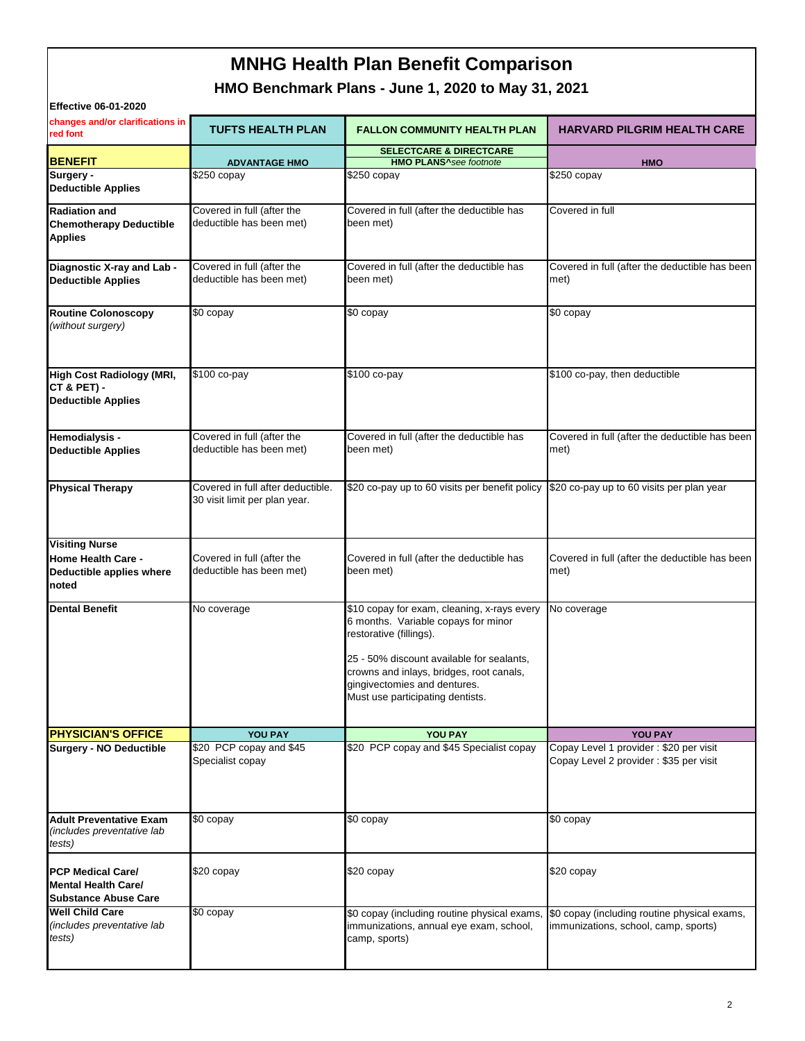# **MNHG Health Plan Benefit Comparison**

## **HMO Benchmark Plans - June 1, 2020 to May 31, 2021**

| <b>Effective 06-01-2020</b>                                                             |                                                                    |                                                                                                                                                                                                                                                                            |                                                                                      |
|-----------------------------------------------------------------------------------------|--------------------------------------------------------------------|----------------------------------------------------------------------------------------------------------------------------------------------------------------------------------------------------------------------------------------------------------------------------|--------------------------------------------------------------------------------------|
| changes and/or clarifications in<br>red font                                            | <b>TUFTS HEALTH PLAN</b>                                           | <b>FALLON COMMUNITY HEALTH PLAN</b>                                                                                                                                                                                                                                        | <b>HARVARD PILGRIM HEALTH CARE</b>                                                   |
| <b>BENEFIT</b>                                                                          | <b>ADVANTAGE HMO</b>                                               | <b>SELECTCARE &amp; DIRECTCARE</b><br><b>HMO PLANS</b> <sup>^</sup> see footnote                                                                                                                                                                                           | <b>HMO</b>                                                                           |
| Surgery -<br><b>Deductible Applies</b>                                                  | \$250 copay                                                        | \$250 copay                                                                                                                                                                                                                                                                | \$250 copay                                                                          |
| <b>Radiation and</b><br><b>Chemotherapy Deductible</b><br><b>Applies</b>                | Covered in full (after the<br>deductible has been met)             | Covered in full (after the deductible has<br>been met)                                                                                                                                                                                                                     | Covered in full                                                                      |
| Diagnostic X-ray and Lab -<br><b>Deductible Applies</b>                                 | Covered in full (after the<br>deductible has been met)             | Covered in full (after the deductible has<br>been met)                                                                                                                                                                                                                     | Covered in full (after the deductible has been<br>met)                               |
| <b>Routine Colonoscopy</b><br>(without surgery)                                         | \$0 copay                                                          | \$0 copay                                                                                                                                                                                                                                                                  | \$0 copay                                                                            |
| <b>High Cost Radiology (MRI,</b><br><b>CT &amp; PET) -</b><br><b>Deductible Applies</b> | \$100 co-pay                                                       | \$100 co-pay                                                                                                                                                                                                                                                               | \$100 co-pay, then deductible                                                        |
| Hemodialysis -<br><b>Deductible Applies</b>                                             | Covered in full (after the<br>deductible has been met)             | Covered in full (after the deductible has<br>been met)                                                                                                                                                                                                                     | Covered in full (after the deductible has been<br>met)                               |
| <b>Physical Therapy</b>                                                                 | Covered in full after deductible.<br>30 visit limit per plan year. | \$20 co-pay up to 60 visits per benefit policy                                                                                                                                                                                                                             | \$20 co-pay up to 60 visits per plan year                                            |
| <b>Visiting Nurse</b><br><b>Home Health Care -</b><br>Deductible applies where<br>noted | Covered in full (after the<br>deductible has been met)             | Covered in full (after the deductible has<br>been met)                                                                                                                                                                                                                     | Covered in full (after the deductible has been<br>met)                               |
| <b>Dental Benefit</b>                                                                   | No coverage                                                        | \$10 copay for exam, cleaning, x-rays every<br>6 months. Variable copays for minor<br>restorative (fillings).<br>25 - 50% discount available for sealants,<br>crowns and inlays, bridges, root canals,<br>gingivectomies and dentures.<br>Must use participating dentists. | No coverage                                                                          |
| <b>PHYSICIAN'S OFFICE</b>                                                               | YOU PAY                                                            | YOU PAY                                                                                                                                                                                                                                                                    | YOU PAY                                                                              |
| <b>Surgery - NO Deductible</b>                                                          | \$20 PCP copay and \$45<br>Specialist copay                        | \$20 PCP copay and \$45 Specialist copay                                                                                                                                                                                                                                   | Copay Level 1 provider : \$20 per visit<br>Copay Level 2 provider: \$35 per visit    |
| <b>Adult Preventative Exam</b><br>(includes preventative lab<br>tests)                  | \$0 copay                                                          | \$0 copay                                                                                                                                                                                                                                                                  | \$0 copay                                                                            |
| <b>PCP Medical Care/</b><br><b>Mental Health Care/</b><br><b>Substance Abuse Care</b>   | \$20 copay                                                         | \$20 copay                                                                                                                                                                                                                                                                 | \$20 copay                                                                           |
| <b>Well Child Care</b><br>(includes preventative lab<br>tests)                          | \$0 copay                                                          | \$0 copay (including routine physical exams,<br>immunizations, annual eye exam, school,<br>camp, sports)                                                                                                                                                                   | \$0 copay (including routine physical exams,<br>immunizations, school, camp, sports) |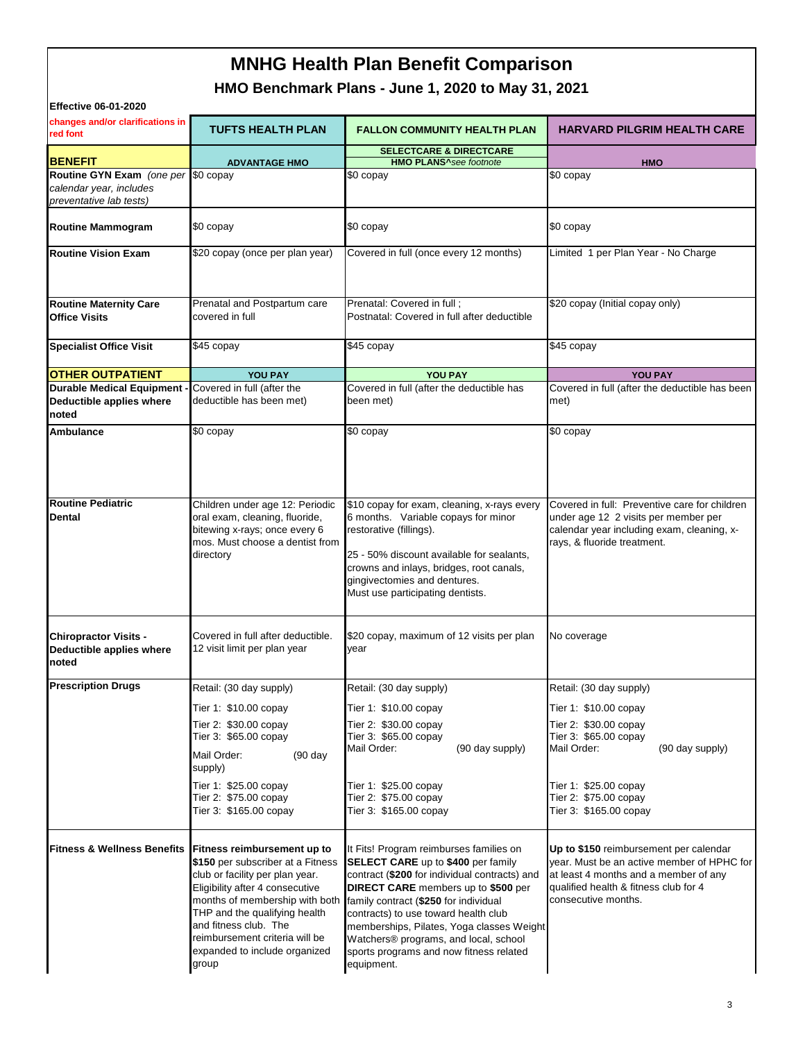# **MNHG Health Plan Benefit Comparison**

**HMO Benchmark Plans - June 1, 2020 to May 31, 2021**

| <b>Effective 06-01-2020</b>                                                               |                                                                                                                                                                                                                                                                                                                                            |                                                                                                                                                                                                                                                                                                                                                                                                                     |                                                                                                                                                                                                                  |  |  |
|-------------------------------------------------------------------------------------------|--------------------------------------------------------------------------------------------------------------------------------------------------------------------------------------------------------------------------------------------------------------------------------------------------------------------------------------------|---------------------------------------------------------------------------------------------------------------------------------------------------------------------------------------------------------------------------------------------------------------------------------------------------------------------------------------------------------------------------------------------------------------------|------------------------------------------------------------------------------------------------------------------------------------------------------------------------------------------------------------------|--|--|
| changes and/or clarifications in<br>red font                                              | <b>TUFTS HEALTH PLAN</b>                                                                                                                                                                                                                                                                                                                   | <b>FALLON COMMUNITY HEALTH PLAN</b>                                                                                                                                                                                                                                                                                                                                                                                 | <b>HARVARD PILGRIM HEALTH CARE</b>                                                                                                                                                                               |  |  |
| <b>BENEFIT</b>                                                                            | <b>ADVANTAGE HMO</b>                                                                                                                                                                                                                                                                                                                       | <b>SELECTCARE &amp; DIRECTCARE</b><br><b>HMO PLANS</b> <sup>A</sup> see footnote                                                                                                                                                                                                                                                                                                                                    | <b>HMO</b>                                                                                                                                                                                                       |  |  |
| Routine GYN Exam (one per \$0 copay<br>calendar year, includes<br>preventative lab tests) |                                                                                                                                                                                                                                                                                                                                            | \$0 copay                                                                                                                                                                                                                                                                                                                                                                                                           | \$0 copay                                                                                                                                                                                                        |  |  |
| <b>Routine Mammogram</b>                                                                  | \$0 copay                                                                                                                                                                                                                                                                                                                                  | \$0 copay                                                                                                                                                                                                                                                                                                                                                                                                           | \$0 copay                                                                                                                                                                                                        |  |  |
| <b>Routine Vision Exam</b>                                                                | \$20 copay (once per plan year)                                                                                                                                                                                                                                                                                                            | Covered in full (once every 12 months)                                                                                                                                                                                                                                                                                                                                                                              | Limited 1 per Plan Year - No Charge                                                                                                                                                                              |  |  |
| <b>Routine Maternity Care</b><br><b>Office Visits</b>                                     | Prenatal and Postpartum care<br>covered in full                                                                                                                                                                                                                                                                                            | Prenatal: Covered in full;<br>Postnatal: Covered in full after deductible                                                                                                                                                                                                                                                                                                                                           | \$20 copay (Initial copay only)                                                                                                                                                                                  |  |  |
| <b>Specialist Office Visit</b>                                                            | \$45 copay                                                                                                                                                                                                                                                                                                                                 | \$45 copay                                                                                                                                                                                                                                                                                                                                                                                                          | \$45 copay                                                                                                                                                                                                       |  |  |
| <b>OTHER OUTPATIENT</b>                                                                   | <b>YOU PAY</b>                                                                                                                                                                                                                                                                                                                             | YOU PAY                                                                                                                                                                                                                                                                                                                                                                                                             | <b>YOU PAY</b>                                                                                                                                                                                                   |  |  |
| <b>Durable Medical Equipment</b><br>Deductible applies where<br>noted                     | Covered in full (after the<br>deductible has been met)                                                                                                                                                                                                                                                                                     | Covered in full (after the deductible has<br>been met)                                                                                                                                                                                                                                                                                                                                                              | Covered in full (after the deductible has been<br>met)                                                                                                                                                           |  |  |
| <b>Ambulance</b>                                                                          | \$0 copay                                                                                                                                                                                                                                                                                                                                  | \$0 copay                                                                                                                                                                                                                                                                                                                                                                                                           | \$0 copay                                                                                                                                                                                                        |  |  |
| <b>Routine Pediatric</b><br>Dental                                                        | Children under age 12: Periodic<br>oral exam, cleaning, fluoride,<br>bitewing x-rays; once every 6<br>mos. Must choose a dentist from<br>directory                                                                                                                                                                                         | \$10 copay for exam, cleaning, x-rays every<br>6 months. Variable copays for minor<br>restorative (fillings).<br>25 - 50% discount available for sealants,<br>crowns and inlays, bridges, root canals,<br>gingivectomies and dentures.<br>Must use participating dentists.                                                                                                                                          | Covered in full: Preventive care for children<br>under age 12 2 visits per member per<br>calendar year including exam, cleaning, x-<br>rays, & fluoride treatment.                                               |  |  |
| <b>Chiropractor Visits -</b><br>Deductible applies where<br>noted                         | Covered in full after deductible.<br>12 visit limit per plan year                                                                                                                                                                                                                                                                          | \$20 copay, maximum of 12 visits per plan<br>year                                                                                                                                                                                                                                                                                                                                                                   | No coverage                                                                                                                                                                                                      |  |  |
| <b>Prescription Drugs</b>                                                                 | Retail: (30 day supply)<br>Tier 1: \$10.00 copay<br>Tier 2: \$30.00 copay<br>Tier 3: \$65.00 copay<br>Mail Order:<br>$(90 \text{ day})$<br>supply)<br>Tier 1: \$25.00 copay<br>Tier 2: \$75.00 copay<br>Tier 3: \$165.00 copay                                                                                                             | Retail: (30 day supply)<br>Tier 1: \$10.00 copay<br>Tier 2: \$30.00 copay<br>Tier 3: \$65.00 copay<br>Mail Order:<br>(90 day supply)<br>Tier 1: \$25.00 copay<br>Tier 2: \$75.00 copay<br>Tier 3: \$165.00 copay                                                                                                                                                                                                    | Retail: (30 day supply)<br>Tier 1: \$10.00 copay<br>Tier 2: \$30.00 copay<br>Tier 3: \$65.00 copay<br>Mail Order:<br>(90 day supply)<br>Tier 1: \$25.00 copay<br>Tier 2: \$75.00 copay<br>Tier 3: \$165.00 copay |  |  |
|                                                                                           | Fitness & Wellness Benefits Fitness reimbursement up to<br>\$150 per subscriber at a Fitness<br>club or facility per plan year.<br>Eligibility after 4 consecutive<br>months of membership with both<br>THP and the qualifying health<br>and fitness club. The<br>reimbursement criteria will be<br>expanded to include organized<br>group | It Fits! Program reimburses families on<br><b>SELECT CARE</b> up to \$400 per family<br>contract (\$200 for individual contracts) and<br><b>DIRECT CARE</b> members up to \$500 per<br>family contract (\$250 for individual<br>contracts) to use toward health club<br>memberships, Pilates, Yoga classes Weight<br>Watchers® programs, and local, school<br>sports programs and now fitness related<br>equipment. | Up to \$150 reimbursement per calendar<br>year. Must be an active member of HPHC for<br>at least 4 months and a member of any<br>qualified health & fitness club for 4<br>consecutive months.                    |  |  |